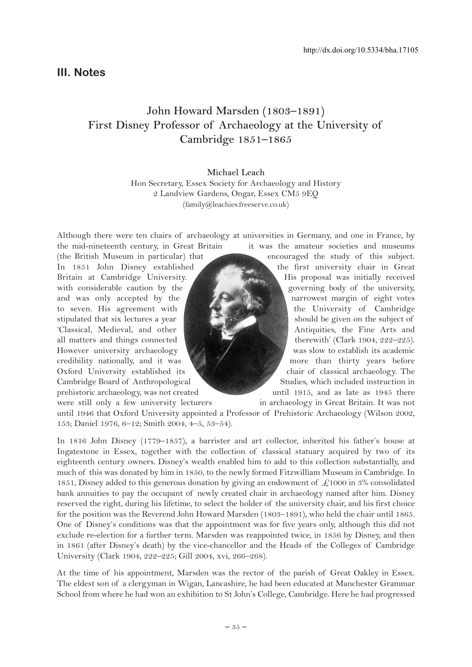## **III. Notes**

# **John Howard Marsden (1803–1891) First Disney Professor of Archaeology at the University of Cambridge 1851–1865**

**Michael Leach** Hon Secretary, Essex Society for Archaeology and History 2 Landview Gardens, Ongar, Essex CM5 9EQ (family@leachies.freeserve.co.uk)

Although there were ten chairs of archaeology at universities in Germany, and one in France, by the mid-nineteenth century, in Great Britain it was the amateur societies and museums

(the British Museum in particular) that encouraged the study of this subject. In 1851 John Disney established (all the first university chair in Great Britain at Cambridge University. His proposal was initially received with considerable caution by the governing body of the university, and was only accepted by the  $\left\{\begin{array}{ccc} \bullet & \bullet & \bullet & \bullet & \bullet \end{array}\right\}$  narrowest margin of eight votes to seven. His agreement with the University of Cambridge stipulated that six lectures a year should be given on the subject of 'Classical, Medieval, and other Antiquities, the Fine Arts and all matters and things connected the therewith' (Clark 1904,  $222-225$ ). However university archaeology was slow to establish its academic credibility nationally, and it was more than thirty years before Oxford University established its chair of classical archaeology. The Cambridge Board of Anthropological Studies, which included instruction in prehistoric archaeology, was not created until 1915, and as late as 1945 there

were still only a few university lecturers in archaeology in Great Britain. It was not until 1946 that Oxford University appointed a Professor of Prehistoric Archaeology (Wilson 2002, 153; Daniel 1976, 6–12; Smith 2004, 4–5, 53–54).

In 1816 John Disney (1779–1857), a barrister and art collector, inherited his father's house at Ingatestone in Essex, together with the collection of classical statuary acquired by two of its eighteenth century owners. Disney's wealth enabled him to add to this collection substantially, and much of this was donated by him in 1850, to the newly formed Fitzwilliam Museum in Cambridge. In 1851, Disney added to this generous donation by giving an endowment of  $\mathcal{L}1000$  in 3% consolidated bank annuities to pay the occupant of newly created chair in archaeology named after him. Disney reserved the right, during his lifetime, to select the holder of the university chair, and his first choice for the position was the Reverend John Howard Marsden (1803–1891), who held the chair until 1865. One of Disney's conditions was that the appointment was for five years only, although this did not exclude re-election for a further term. Marsden was reappointed twice, in 1856 by Disney, and then in 1861 (after Disney's death) by the vice-chancellor and the Heads of the Colleges of Cambridge University (Clark 1904, 222–225; Gill 2004, xvi, 266–268).

At the time of his appointment, Marsden was the rector of the parish of Great Oakley in Essex. The eldest son of a clergyman in Wigan, Lancashire, he had been educated at Manchester Grammar School from where he had won an exhibition to St John's College, Cambridge. Here he had progressed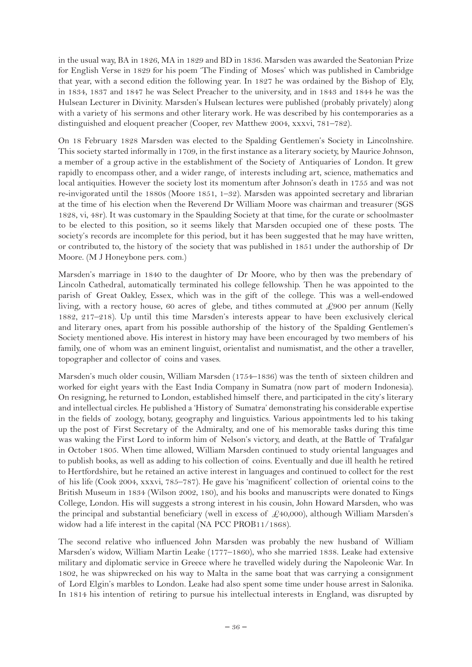in the usual way, BA in 1826, MA in 1829 and BD in 1836. Marsden was awarded the Seatonian Prize for English Verse in 1829 for his poem 'The Finding of Moses' which was published in Cambridge that year, with a second edition the following year. In 1827 he was ordained by the Bishop of Ely, in 1834, 1837 and 1847 he was Select Preacher to the university, and in 1843 and 1844 he was the Hulsean Lecturer in Divinity. Marsden's Hulsean lectures were published (probably privately) along with a variety of his sermons and other literary work. He was described by his contemporaries as a distinguished and eloquent preacher (Cooper, rev Matthew 2004, xxxvi, 781–782).

On 18 February 1828 Marsden was elected to the Spalding Gentlemen's Society in Lincolnshire. This society started informally in 1709, in the first instance as a literary society, by Maurice Johnson, a member of a group active in the establishment of the Society of Antiquaries of London. It grew rapidly to encompass other, and a wider range, of interests including art, science, mathematics and local antiquities. However the society lost its momentum after Johnson's death in 1755 and was not re-invigorated until the 1880s (Moore 1851, 1–32). Marsden was appointed secretary and librarian at the time of his election when the Reverend Dr William Moore was chairman and treasurer (SGS 1828, vi, 48r). It was customary in the Spaulding Society at that time, for the curate or schoolmaster to be elected to this position, so it seems likely that Marsden occupied one of these posts. The society's records are incomplete for this period, but it has been suggested that he may have written, or contributed to, the history of the society that was published in 1851 under the authorship of Dr Moore. (M J Honeybone pers. com.)

Marsden's marriage in 1840 to the daughter of Dr Moore, who by then was the prebendary of Lincoln Cathedral, automatically terminated his college fellowship. Then he was appointed to the parish of Great Oakley, Essex, which was in the gift of the college. This was a well-endowed living, with a rectory house, 60 acres of glebe, and tithes commuted at £900 per annum (Kelly 1882, 217–218). Up until this time Marsden's interests appear to have been exclusively clerical and literary ones, apart from his possible authorship of the history of the Spalding Gentlemen's Society mentioned above. His interest in history may have been encouraged by two members of his family, one of whom was an eminent linguist, orientalist and numismatist, and the other a traveller, topographer and collector of coins and vases.

Marsden's much older cousin, William Marsden (1754–1836) was the tenth of sixteen children and worked for eight years with the East India Company in Sumatra (now part of modern Indonesia). On resigning, he returned to London, established himself there, and participated in the city's literary and intellectual circles. He published a 'History of Sumatra' demonstrating his considerable expertise in the fields of zoology, botany, geography and linguistics. Various appointments led to his taking up the post of First Secretary of the Admiralty, and one of his memorable tasks during this time was waking the First Lord to inform him of Nelson's victory, and death, at the Battle of Trafalgar in October 1805. When time allowed, William Marsden continued to study oriental languages and to publish books, as well as adding to his collection of coins. Eventually and due ill health he retired to Hertfordshire, but he retained an active interest in languages and continued to collect for the rest of his life (Cook 2004, xxxvi, 785–787). He gave his 'magnificent' collection of oriental coins to the British Museum in 1834 (Wilson 2002, 180), and his books and manuscripts were donated to Kings College, London. His will suggests a strong interest in his cousin, John Howard Marsden, who was the principal and substantial beneficiary (well in excess of  $\mathcal{L}40,000$ ), although William Marsden's widow had a life interest in the capital (NA PCC PROB11/1868).

The second relative who influenced John Marsden was probably the new husband of William Marsden's widow, William Martin Leake (1777–1860), who she married 1838. Leake had extensive military and diplomatic service in Greece where he travelled widely during the Napoleonic War. In 1802, he was shipwrecked on his way to Malta in the same boat that was carrying a consignment of Lord Elgin's marbles to London. Leake had also spent some time under house arrest in Salonika. In 1814 his intention of retiring to pursue his intellectual interests in England, was disrupted by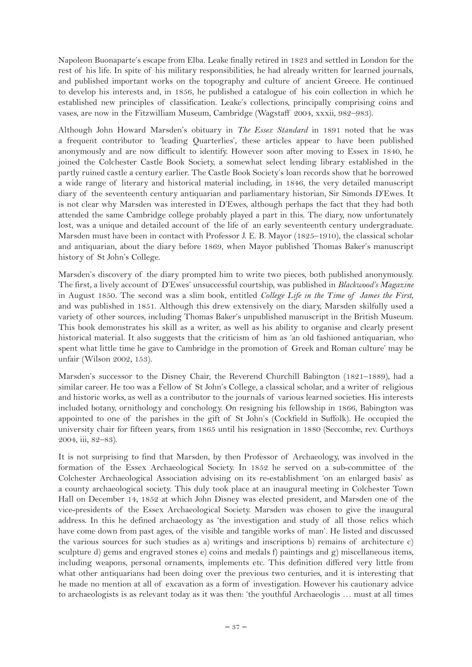Napoleon Buonaparte's escape from Elba. Leake finally retired in 1823 and settled in London for the rest of his life. In spite of his military responsibilities, he had already written for learned journals, and published important works on the topography and culture of ancient Greece. He continued to develop his interests and, in 1856, he published a catalogue of his coin collection in which he established new principles of classification. Leake's collections, principally comprising coins and vases, are now in the Fitzwilliam Museum, Cambridge (Wagstaff 2004, xxxii, 982–983).

Although John Howard Marsden's obituary in *The Essex Standard* in 1891 noted that he was a frequent contributor to 'leading Quarterlies', these articles appear to have been published anonymously and are now difficult to identify. However soon after moving to Essex in 1840, he joined the Colchester Castle Book Society, a somewhat select lending library established in the partly ruined castle a century earlier. The Castle Book Society's loan records show that he borrowed a wide range of literary and historical material including, in 1846, the very detailed manuscript diary of the seventeenth century antiquarian and parliamentary historian, Sir Simonds D'Ewes. It is not clear why Marsden was interested in D'Ewes, although perhaps the fact that they had both attended the same Cambridge college probably played a part in this. The diary, now unfortunately lost, was a unique and detailed account of the life of an early seventeenth century undergraduate. Marsden must have been in contact with Professor J. E. B. Mayor (1825–1910), the classical scholar and antiquarian, about the diary before 1869, when Mayor published Thomas Baker's manuscript history of St John's College.

Marsden's discovery of the diary prompted him to write two pieces, both published anonymously. The first, a lively account of D'Ewes' unsuccessful courtship, was published in *Blackwood's Magazine* in August 1850. The second was a slim book, entitled *College Life in the Time of James the First*, and was published in 1851. Although this drew extensively on the diary, Marsden skilfully used a variety of other sources, including Thomas Baker's unpublished manuscript in the British Museum. This book demonstrates his skill as a writer, as well as his ability to organise and clearly present historical material. It also suggests that the criticism of him as 'an old fashioned antiquarian, who spent what little time he gave to Cambridge in the promotion of Greek and Roman culture' may be unfair (Wilson 2002, 153).

Marsden's successor to the Disney Chair, the Reverend Churchill Babington (1821–1889), had a similar career. He too was a Fellow of St John's College, a classical scholar, and a writer of religious and historic works, as well as a contributor to the journals of various learned societies. His interests included botany, ornithology and conchology. On resigning his fellowship in 1866, Babington was appointed to one of the parishes in the gift of St John's (Cockfield in Suffolk). He occupied the university chair for fifteen years, from 1865 until his resignation in 1880 (Seccombe, rev. Curthoys 2004, iii, 82–83).

It is not surprising to find that Marsden, by then Professor of Archaeology, was involved in the formation of the Essex Archaeological Society. In 1852 he served on a sub-committee of the Colchester Archaeological Association advising on its re-establishment 'on an enlarged basis' as a county archaeological society. This duly took place at an inaugural meeting in Colchester Town Hall on December 14, 1852 at which John Disney was elected president, and Marsden one of the vice-presidents of the Essex Archaeological Society. Marsden was chosen to give the inaugural address. In this he defined archaeology as 'the investigation and study of all those relics which have come down from past ages, of the visible and tangible works of man'. He listed and discussed the various sources for such studies as a) writings and inscriptions b) remains of architecture c) sculpture d) gems and engraved stones e) coins and medals f) paintings and g) miscellaneous items, including weapons, personal ornaments, implements etc. This definition differed very little from what other antiquarians had been doing over the previous two centuries, and it is interesting that he made no mention at all of excavation as a form of investigation. However his cautionary advice to archaeologists is as relevant today as it was then: 'the youthful Archaeologis … must at all times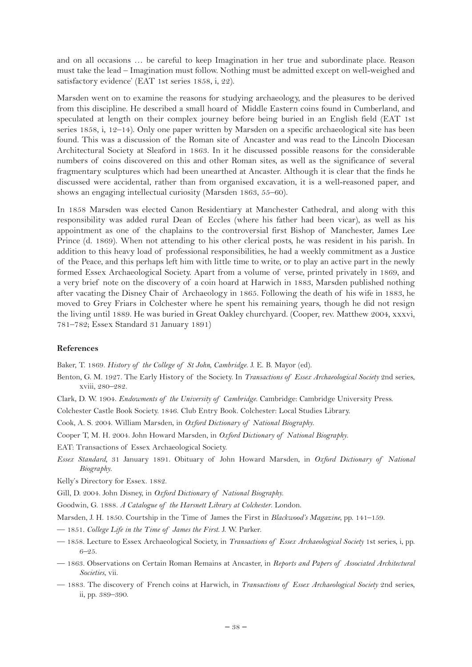and on all occasions … be careful to keep Imagination in her true and subordinate place. Reason must take the lead – Imagination must follow. Nothing must be admitted except on well-weighed and satisfactory evidence' (EAT 1st series 1858, i, 22).

Marsden went on to examine the reasons for studying archaeology, and the pleasures to be derived from this discipline. He described a small hoard of Middle Eastern coins found in Cumberland, and speculated at length on their complex journey before being buried in an English field (EAT 1st series 1858, i, 12–14). Only one paper written by Marsden on a specific archaeological site has been found. This was a discussion of the Roman site of Ancaster and was read to the Lincoln Diocesan Architectural Society at Sleaford in 1863. In it he discussed possible reasons for the considerable numbers of coins discovered on this and other Roman sites, as well as the significance of several fragmentary sculptures which had been unearthed at Ancaster. Although it is clear that the finds he discussed were accidental, rather than from organised excavation, it is a well-reasoned paper, and shows an engaging intellectual curiosity (Marsden 1863, 55–60).

In 1858 Marsden was elected Canon Residentiary at Manchester Cathedral, and along with this responsibility was added rural Dean of Eccles (where his father had been vicar), as well as his appointment as one of the chaplains to the controversial first Bishop of Manchester, James Lee Prince (d. 1869). When not attending to his other clerical posts, he was resident in his parish. In addition to this heavy load of professional responsibilities, he had a weekly commitment as a Justice of the Peace, and this perhaps left him with little time to write, or to play an active part in the newly formed Essex Archaeological Society. Apart from a volume of verse, printed privately in 1869, and a very brief note on the discovery of a coin hoard at Harwich in 1883, Marsden published nothing after vacating the Disney Chair of Archaeology in 1865. Following the death of his wife in 1883, he moved to Grey Friars in Colchester where he spent his remaining years, though he did not resign the living until 1889. He was buried in Great Oakley churchyard. (Cooper, rev. Matthew 2004, xxxvi, 781–782; Essex Standard 31 January 1891)

#### **References**

Baker, T. 1869. *History of the College of St John, Cambridge*. J. E. B. Mayor (ed).

- Benton, G. M. 1927. The Early History of the Society. In *Transactions of Essex Archaeological Society* 2nd series, xviii, 280–282.
- Clark, D. W. 1904. *Endowments of the University of Cambridge*. Cambridge: Cambridge University Press.
- Colchester Castle Book Society. 1846. Club Entry Book. Colchester: Local Studies Library.
- Cook, A. S. 2004. William Marsden, in *Oxford Dictionary of National Biography*.
- Cooper T, M. H. 2004. John Howard Marsden, in *Oxford Dictionary of National Biography*.
- EAT: Transactions of Essex Archaeological Society.
- *Essex Standard*, 31 January 1891. Obituary of John Howard Marsden, in *Oxford Dictionary of National Biography*.
- Kelly's Directory for Essex. 1882.
- Gill, D. 2004. John Disney, in *Oxford Dictionary of National Biography*.
- Goodwin, G. 1888. *A Catalogue of the Harsnett Library at Colchester*. London.
- Marsden, J. H. 1850. Courtship in the Time of James the First in *Blackwood's Magazine*, pp. 141–159.
- 1851. *College Life in the Time of James the First*. J. W. Parker.
- 1858. Lecture to Essex Archaeological Society, in *Transactions of Essex Archaeological Society* 1st series, i, pp. 6–25.
- 1863. Observations on Certain Roman Remains at Ancaster, in *Reports and Papers of Associated Architectural Societies*, vii.
- 1883. The discovery of French coins at Harwich, in *Transactions of Essex Archaeological Society* 2nd series, ii, pp. 389–390.